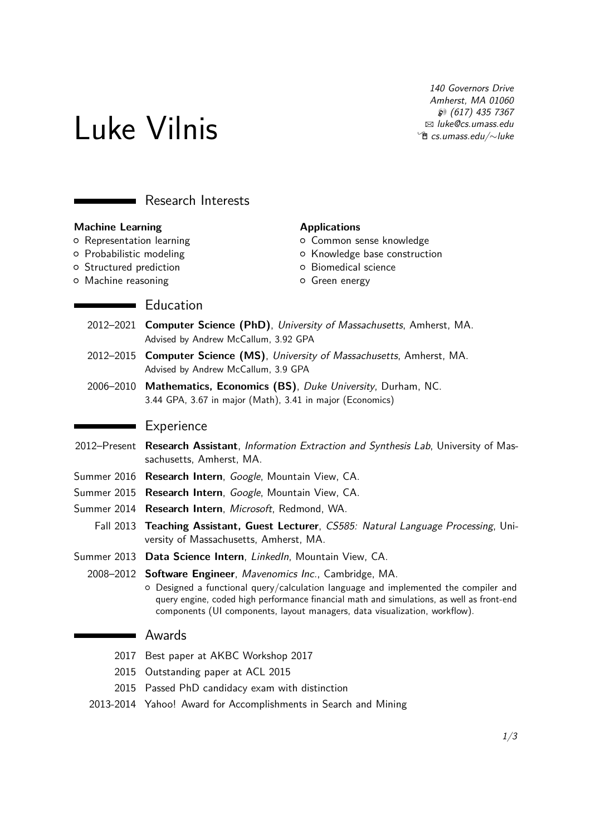Luke Vilnis

140 Governors Drive Amherst, MA 01060  $$617)$  435 7367 B [luke@cs.umass.edu](mailto:luke@cs.umass.edu) Í [cs.umass.edu/](http://cs.umass.edu/~luke)∼luke

# **Research Interests**

### **Machine Learning**

{ Representation learning

**Education** 

- o Probabilistic modeling
- { Structured prediction
- { Machine reasoning

#### **Applications**

- o Common sense knowledge
- { Knowledge base construction
- { Biomedical science
- { Green energy
- 2012–2021 **Computer Science (PhD)**, University of Massachusetts, Amherst, MA. Advised by Andrew McCallum, 3.92 GPA
- 2012–2015 **Computer Science (MS)**, University of Massachusetts, Amherst, MA. Advised by Andrew McCallum, 3.9 GPA
- 2006–2010 **Mathematics, Economics (BS)**, Duke University, Durham, NC. 3.44 GPA, 3.67 in major (Math), 3.41 in major (Economics)

### **Experience**

- 2012–Present **Research Assistant**, Information Extraction and Synthesis Lab, University of Massachusetts, Amherst, MA.
- Summer 2016 **Research Intern**, Google, Mountain View, CA.
- Summer 2015 **Research Intern**, Google, Mountain View, CA.
- Summer 2014 **Research Intern**, Microsoft, Redmond, WA.
	- Fall 2013 **Teaching Assistant, Guest Lecturer**, CS585: Natural Language Processing, University of Massachusetts, Amherst, MA.
- Summer 2013 Data Science Intern, LinkedIn, Mountain View, CA.
	- 2008–2012 **Software Engineer**, Mavenomics Inc., Cambridge, MA.
		- { Designed a functional query/calculation language and implemented the compiler and query engine, coded high performance financial math and simulations, as well as front-end components (UI components, layout managers, data visualization, workflow).

## **NAWARDS**

- 2017 Best paper at AKBC Workshop 2017
- 2015 Outstanding paper at ACL 2015
- 2015 Passed PhD candidacy exam with distinction
- 2013-2014 Yahoo! Award for Accomplishments in Search and Mining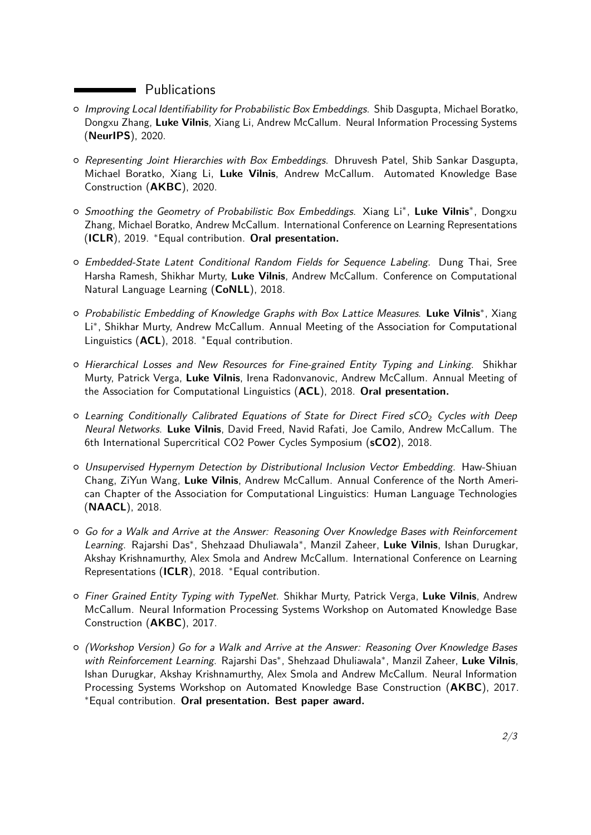# **Example 21** Publications

- o Improving Local Identifiability for Probabilistic Box Embeddings. Shib Dasgupta, Michael Boratko, Dongxu Zhang, **Luke Vilnis**, Xiang Li, Andrew McCallum. Neural Information Processing Systems (**NeurIPS**), 2020.
- $\circ$  Representing Joint Hierarchies with Box Embeddings. Dhruvesh Patel, Shib Sankar Dasgupta, Michael Boratko, Xiang Li, **Luke Vilnis**, Andrew McCallum. Automated Knowledge Base Construction (**AKBC**), 2020.
- o Smoothing the Geometry of Probabilistic Box Embeddings. Xiang Li<sup>∗</sup>, Luke Vilnis<sup>∗</sup>, Dongxu Zhang, Michael Boratko, Andrew McCallum. International Conference on Learning Representations (**ICLR**), 2019. <sup>∗</sup>Equal contribution. **Oral presentation.**
- $\circ$  Embedded-State Latent Conditional Random Fields for Sequence Labeling. Dung Thai, Sree Harsha Ramesh, Shikhar Murty, **Luke Vilnis**, Andrew McCallum. Conference on Computational Natural Language Learning (**CoNLL**), 2018.
- { Probabilistic Embedding of Knowledge Graphs with Box Lattice Measures. **Luke Vilnis**<sup>∗</sup> , Xiang Li<sup>∗</sup> , Shikhar Murty, Andrew McCallum. Annual Meeting of the Association for Computational Linguistics (**ACL**), 2018. <sup>∗</sup>Equal contribution.
- $\circ$  Hierarchical Losses and New Resources for Fine-grained Entity Typing and Linking. Shikhar Murty, Patrick Verga, **Luke Vilnis**, Irena Radonvanovic, Andrew McCallum. Annual Meeting of the Association for Computational Linguistics (**ACL**), 2018. **Oral presentation.**
- $\circ$  Learning Conditionally Calibrated Equations of State for Direct Fired sCO<sub>2</sub> Cycles with Deep Neural Networks. **Luke Vilnis**, David Freed, Navid Rafati, Joe Camilo, Andrew McCallum. The 6th International Supercritical CO2 Power Cycles Symposium (**sCO2**), 2018.
- $\circ$  Unsupervised Hypernym Detection by Distributional Inclusion Vector Embedding. Haw-Shiuan Chang, ZiYun Wang, **Luke Vilnis**, Andrew McCallum. Annual Conference of the North American Chapter of the Association for Computational Linguistics: Human Language Technologies (**NAACL**), 2018.
- $\circ$  Go for a Walk and Arrive at the Answer: Reasoning Over Knowledge Bases with Reinforcement Learning. Rajarshi Das<sup>∗</sup> , Shehzaad Dhuliawala<sup>∗</sup> , Manzil Zaheer, **Luke Vilnis**, Ishan Durugkar, Akshay Krishnamurthy, Alex Smola and Andrew McCallum. International Conference on Learning Representations (**ICLR**), 2018. <sup>∗</sup>Equal contribution.
- { Finer Grained Entity Typing with TypeNet. Shikhar Murty, Patrick Verga, **Luke Vilnis**, Andrew McCallum. Neural Information Processing Systems Workshop on Automated Knowledge Base Construction (**AKBC**), 2017.
- o (Workshop Version) Go for a Walk and Arrive at the Answer: Reasoning Over Knowledge Bases with Reinforcement Learning. Rajarshi Das<sup>\*</sup>, Shehzaad Dhuliawala<sup>\*</sup>, Manzil Zaheer, Luke Vilnis, Ishan Durugkar, Akshay Krishnamurthy, Alex Smola and Andrew McCallum. Neural Information Processing Systems Workshop on Automated Knowledge Base Construction (**AKBC**), 2017. <sup>∗</sup>Equal contribution. **Oral presentation. Best paper award.**